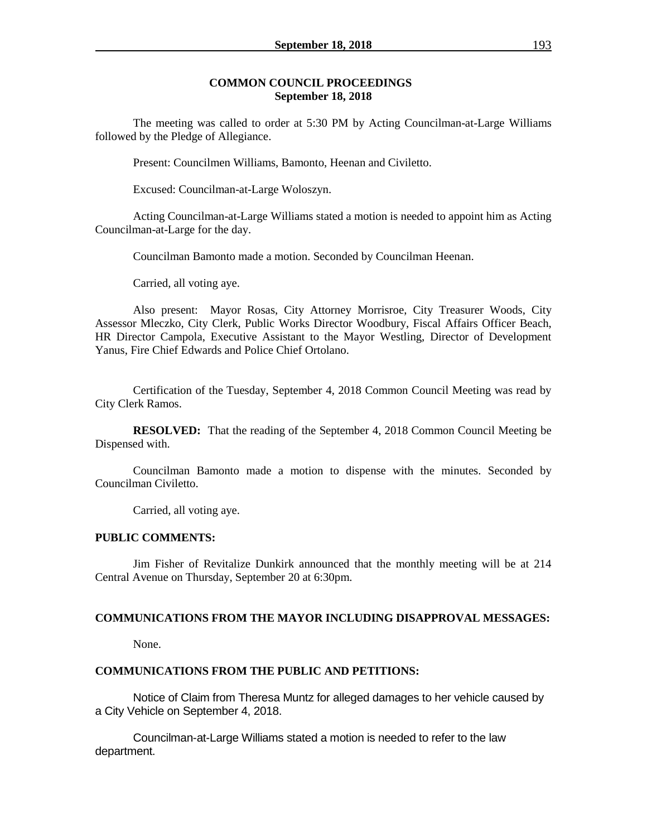#### **COMMON COUNCIL PROCEEDINGS September 18, 2018**

The meeting was called to order at 5:30 PM by Acting Councilman-at-Large Williams followed by the Pledge of Allegiance.

Present: Councilmen Williams, Bamonto, Heenan and Civiletto.

Excused: Councilman-at-Large Woloszyn.

Acting Councilman-at-Large Williams stated a motion is needed to appoint him as Acting Councilman-at-Large for the day.

Councilman Bamonto made a motion. Seconded by Councilman Heenan.

Carried, all voting aye.

Also present: Mayor Rosas, City Attorney Morrisroe, City Treasurer Woods, City Assessor Mleczko, City Clerk, Public Works Director Woodbury, Fiscal Affairs Officer Beach, HR Director Campola, Executive Assistant to the Mayor Westling, Director of Development Yanus, Fire Chief Edwards and Police Chief Ortolano.

Certification of the Tuesday, September 4, 2018 Common Council Meeting was read by City Clerk Ramos.

**RESOLVED:** That the reading of the September 4, 2018 Common Council Meeting be Dispensed with.

Councilman Bamonto made a motion to dispense with the minutes. Seconded by Councilman Civiletto.

Carried, all voting aye.

#### **PUBLIC COMMENTS:**

Jim Fisher of Revitalize Dunkirk announced that the monthly meeting will be at 214 Central Avenue on Thursday, September 20 at 6:30pm.

#### **COMMUNICATIONS FROM THE MAYOR INCLUDING DISAPPROVAL MESSAGES:**

None.

#### **COMMUNICATIONS FROM THE PUBLIC AND PETITIONS:**

Notice of Claim from Theresa Muntz for alleged damages to her vehicle caused by a City Vehicle on September 4, 2018.

Councilman-at-Large Williams stated a motion is needed to refer to the law department.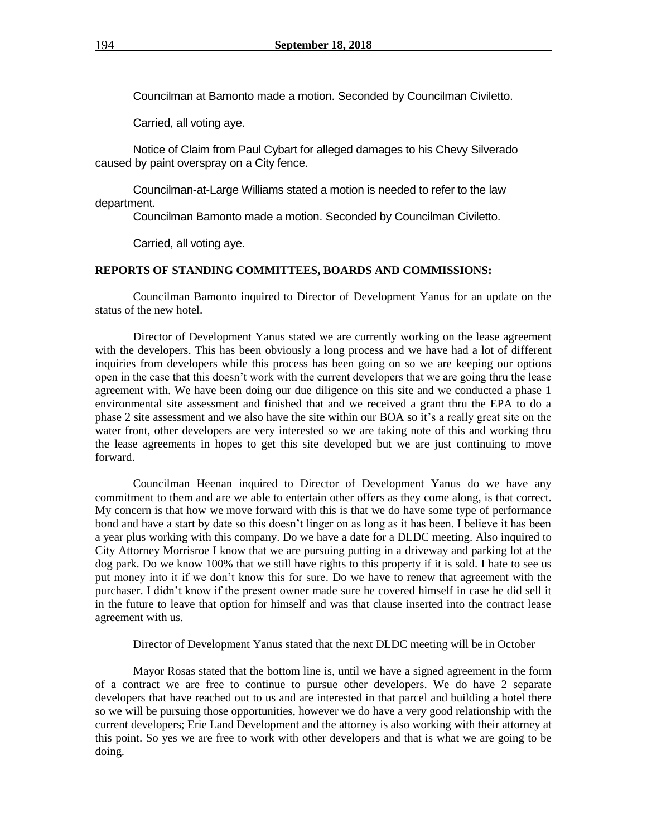Councilman at Bamonto made a motion. Seconded by Councilman Civiletto.

Carried, all voting aye.

Notice of Claim from Paul Cybart for alleged damages to his Chevy Silverado caused by paint overspray on a City fence.

Councilman-at-Large Williams stated a motion is needed to refer to the law department.

Councilman Bamonto made a motion. Seconded by Councilman Civiletto.

Carried, all voting aye.

#### **REPORTS OF STANDING COMMITTEES, BOARDS AND COMMISSIONS:**

Councilman Bamonto inquired to Director of Development Yanus for an update on the status of the new hotel.

Director of Development Yanus stated we are currently working on the lease agreement with the developers. This has been obviously a long process and we have had a lot of different inquiries from developers while this process has been going on so we are keeping our options open in the case that this doesn't work with the current developers that we are going thru the lease agreement with. We have been doing our due diligence on this site and we conducted a phase 1 environmental site assessment and finished that and we received a grant thru the EPA to do a phase 2 site assessment and we also have the site within our BOA so it's a really great site on the water front, other developers are very interested so we are taking note of this and working thru the lease agreements in hopes to get this site developed but we are just continuing to move forward.

Councilman Heenan inquired to Director of Development Yanus do we have any commitment to them and are we able to entertain other offers as they come along, is that correct. My concern is that how we move forward with this is that we do have some type of performance bond and have a start by date so this doesn't linger on as long as it has been. I believe it has been a year plus working with this company. Do we have a date for a DLDC meeting. Also inquired to City Attorney Morrisroe I know that we are pursuing putting in a driveway and parking lot at the dog park. Do we know 100% that we still have rights to this property if it is sold. I hate to see us put money into it if we don't know this for sure. Do we have to renew that agreement with the purchaser. I didn't know if the present owner made sure he covered himself in case he did sell it in the future to leave that option for himself and was that clause inserted into the contract lease agreement with us.

Director of Development Yanus stated that the next DLDC meeting will be in October

Mayor Rosas stated that the bottom line is, until we have a signed agreement in the form of a contract we are free to continue to pursue other developers. We do have 2 separate developers that have reached out to us and are interested in that parcel and building a hotel there so we will be pursuing those opportunities, however we do have a very good relationship with the current developers; Erie Land Development and the attorney is also working with their attorney at this point. So yes we are free to work with other developers and that is what we are going to be doing.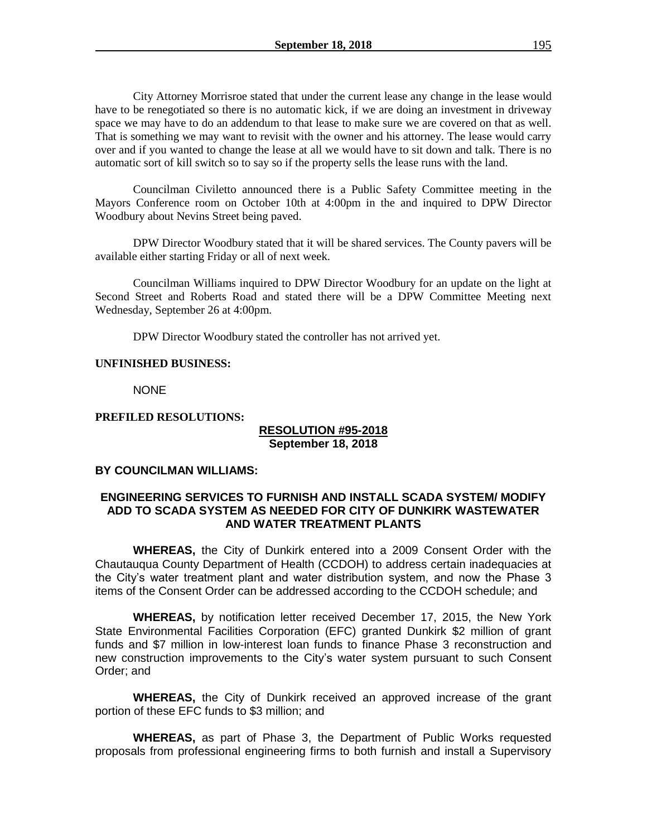City Attorney Morrisroe stated that under the current lease any change in the lease would have to be renegotiated so there is no automatic kick, if we are doing an investment in driveway space we may have to do an addendum to that lease to make sure we are covered on that as well. That is something we may want to revisit with the owner and his attorney. The lease would carry over and if you wanted to change the lease at all we would have to sit down and talk. There is no automatic sort of kill switch so to say so if the property sells the lease runs with the land.

Councilman Civiletto announced there is a Public Safety Committee meeting in the Mayors Conference room on October 10th at 4:00pm in the and inquired to DPW Director Woodbury about Nevins Street being paved.

DPW Director Woodbury stated that it will be shared services. The County pavers will be available either starting Friday or all of next week.

Councilman Williams inquired to DPW Director Woodbury for an update on the light at Second Street and Roberts Road and stated there will be a DPW Committee Meeting next Wednesday, September 26 at 4:00pm.

DPW Director Woodbury stated the controller has not arrived yet.

#### **UNFINISHED BUSINESS:**

NONE

#### **PREFILED RESOLUTIONS:**

### **RESOLUTION #95-2018 September 18, 2018**

## **BY COUNCILMAN WILLIAMS:**

### **ENGINEERING SERVICES TO FURNISH AND INSTALL SCADA SYSTEM/ MODIFY ADD TO SCADA SYSTEM AS NEEDED FOR CITY OF DUNKIRK WASTEWATER AND WATER TREATMENT PLANTS**

**WHEREAS,** the City of Dunkirk entered into a 2009 Consent Order with the Chautauqua County Department of Health (CCDOH) to address certain inadequacies at the City's water treatment plant and water distribution system, and now the Phase 3 items of the Consent Order can be addressed according to the CCDOH schedule; and

**WHEREAS,** by notification letter received December 17, 2015, the New York State Environmental Facilities Corporation (EFC) granted Dunkirk \$2 million of grant funds and \$7 million in low-interest loan funds to finance Phase 3 reconstruction and new construction improvements to the City's water system pursuant to such Consent Order; and

**WHEREAS,** the City of Dunkirk received an approved increase of the grant portion of these EFC funds to \$3 million; and

**WHEREAS,** as part of Phase 3, the Department of Public Works requested proposals from professional engineering firms to both furnish and install a Supervisory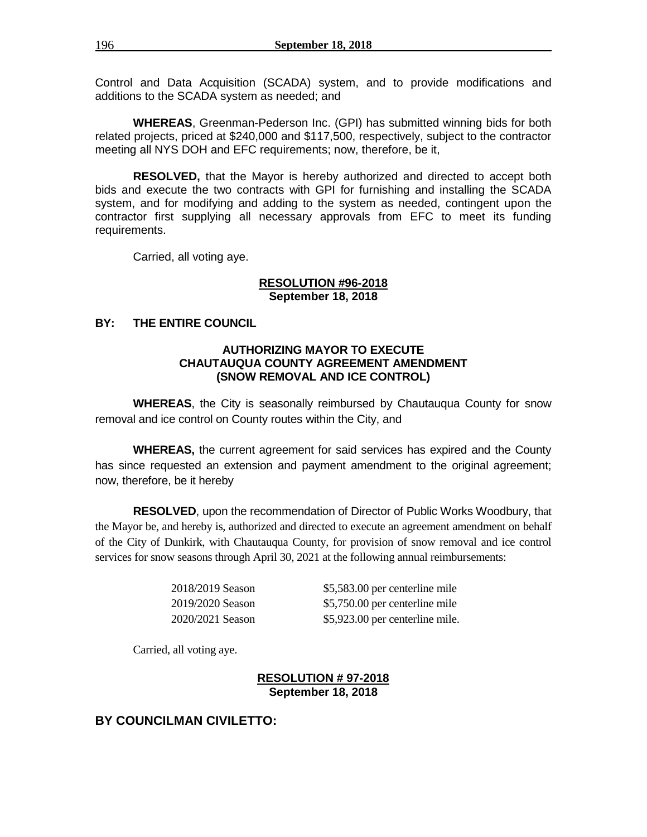Control and Data Acquisition (SCADA) system, and to provide modifications and additions to the SCADA system as needed; and

**WHEREAS**, Greenman-Pederson Inc. (GPI) has submitted winning bids for both related projects, priced at \$240,000 and \$117,500, respectively, subject to the contractor meeting all NYS DOH and EFC requirements; now, therefore, be it,

**RESOLVED,** that the Mayor is hereby authorized and directed to accept both bids and execute the two contracts with GPI for furnishing and installing the SCADA system, and for modifying and adding to the system as needed, contingent upon the contractor first supplying all necessary approvals from EFC to meet its funding requirements.

Carried, all voting aye.

### **RESOLUTION #96-2018 September 18, 2018**

### **BY: THE ENTIRE COUNCIL**

### **AUTHORIZING MAYOR TO EXECUTE CHAUTAUQUA COUNTY AGREEMENT AMENDMENT (SNOW REMOVAL AND ICE CONTROL)**

**WHEREAS**, the City is seasonally reimbursed by Chautauqua County for snow removal and ice control on County routes within the City, and

**WHEREAS,** the current agreement for said services has expired and the County has since requested an extension and payment amendment to the original agreement; now, therefore, be it hereby

**RESOLVED**, upon the recommendation of Director of Public Works Woodbury, that the Mayor be, and hereby is, authorized and directed to execute an agreement amendment on behalf of the City of Dunkirk, with Chautauqua County, for provision of snow removal and ice control services for snow seasons through April 30, 2021 at the following annual reimbursements:

2018/2019 Season \$5,583.00 per centerline mile 2019/2020 Season \$5,750.00 per centerline mile 2020/2021 Season \$5,923.00 per centerline mile.

Carried, all voting aye.

### **RESOLUTION # 97-2018 September 18, 2018**

# **BY COUNCILMAN CIVILETTO:**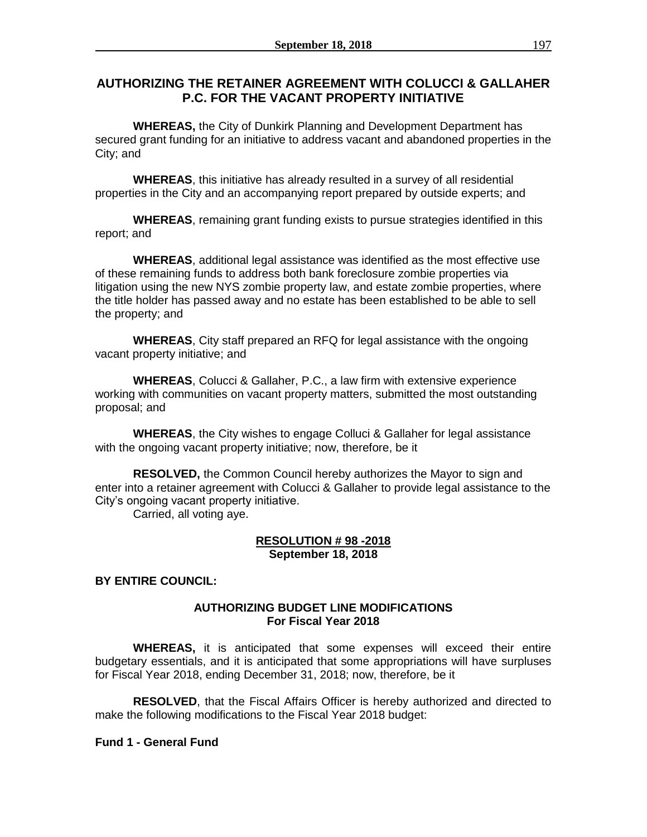# **AUTHORIZING THE RETAINER AGREEMENT WITH COLUCCI & GALLAHER P.C. FOR THE VACANT PROPERTY INITIATIVE**

**WHEREAS,** the City of Dunkirk Planning and Development Department has secured grant funding for an initiative to address vacant and abandoned properties in the City; and

**WHEREAS**, this initiative has already resulted in a survey of all residential properties in the City and an accompanying report prepared by outside experts; and

**WHEREAS**, remaining grant funding exists to pursue strategies identified in this report; and

**WHEREAS**, additional legal assistance was identified as the most effective use of these remaining funds to address both bank foreclosure zombie properties via litigation using the new NYS zombie property law, and estate zombie properties, where the title holder has passed away and no estate has been established to be able to sell the property; and

**WHEREAS**, City staff prepared an RFQ for legal assistance with the ongoing vacant property initiative; and

**WHEREAS**, Colucci & Gallaher, P.C., a law firm with extensive experience working with communities on vacant property matters, submitted the most outstanding proposal; and

**WHEREAS**, the City wishes to engage Colluci & Gallaher for legal assistance with the ongoing vacant property initiative; now, therefore, be it

**RESOLVED,** the Common Council hereby authorizes the Mayor to sign and enter into a retainer agreement with Colucci & Gallaher to provide legal assistance to the City's ongoing vacant property initiative.

Carried, all voting aye.

### **RESOLUTION # 98 -2018 September 18, 2018**

## **BY ENTIRE COUNCIL:**

## **AUTHORIZING BUDGET LINE MODIFICATIONS For Fiscal Year 2018**

**WHEREAS,** it is anticipated that some expenses will exceed their entire budgetary essentials, and it is anticipated that some appropriations will have surpluses for Fiscal Year 2018, ending December 31, 2018; now, therefore, be it

**RESOLVED**, that the Fiscal Affairs Officer is hereby authorized and directed to make the following modifications to the Fiscal Year 2018 budget:

### **Fund 1 - General Fund**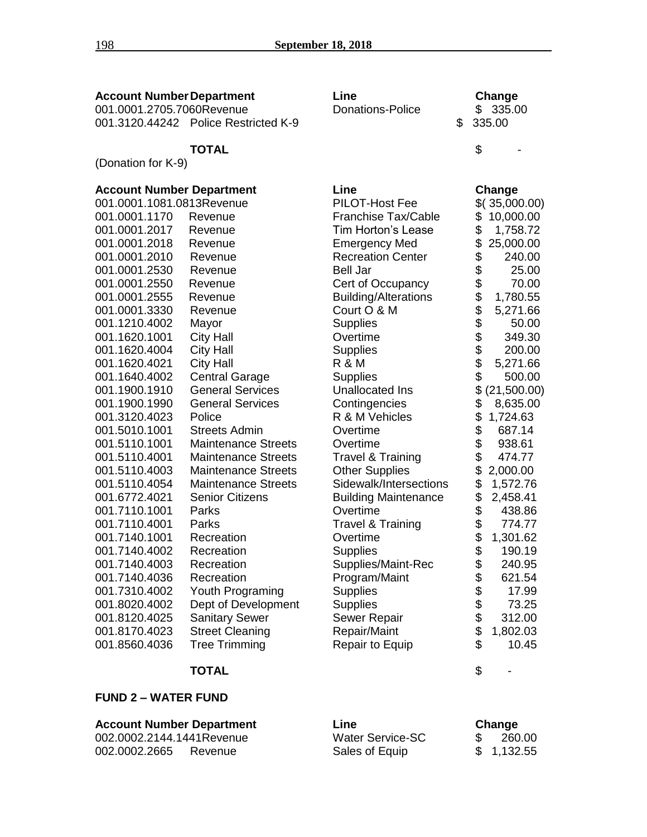| <b>Account Number Department</b>                              |                                      | Line                         | Change                         |  |
|---------------------------------------------------------------|--------------------------------------|------------------------------|--------------------------------|--|
| 001.0001.2705.7060Revenue                                     |                                      | <b>Donations-Police</b>      | \$335.00                       |  |
|                                                               | 001.3120.44242 Police Restricted K-9 |                              | \$<br>335.00                   |  |
|                                                               |                                      |                              |                                |  |
|                                                               | <b>TOTAL</b>                         |                              | \$                             |  |
| (Donation for K-9)                                            |                                      |                              |                                |  |
|                                                               |                                      | Line                         | Change                         |  |
| <b>Account Number Department</b><br>001.0001.1081.0813Revenue |                                      | PILOT-Host Fee               | \$(35,000.00)                  |  |
| 001.0001.1170                                                 | Revenue                              | <b>Franchise Tax/Cable</b>   | \$<br>10,000.00                |  |
| 001.0001.2017                                                 | Revenue                              | Tim Horton's Lease           | \$<br>1,758.72                 |  |
| 001.0001.2018                                                 | Revenue                              | <b>Emergency Med</b>         | \$<br>25,000.00                |  |
| 001.0001.2010                                                 | Revenue                              | <b>Recreation Center</b>     | \$<br>240.00                   |  |
| 001.0001.2530                                                 | Revenue                              | <b>Bell Jar</b>              | 25.00                          |  |
| 001.0001.2550                                                 | Revenue                              | Cert of Occupancy            | 70.00                          |  |
| 001.0001.2555                                                 | Revenue                              | <b>Building/Alterations</b>  | 1,780.55                       |  |
| 001.0001.3330                                                 | Revenue                              | Court O & M                  | 5,271.66                       |  |
| 001.1210.4002                                                 | Mayor                                | <b>Supplies</b>              | 50.00                          |  |
| 001.1620.1001                                                 | <b>City Hall</b>                     | Overtime                     | 349.30                         |  |
| 001.1620.4004                                                 | <b>City Hall</b>                     | <b>Supplies</b>              | 200.00                         |  |
| 001.1620.4021                                                 | <b>City Hall</b>                     | <b>R &amp; M</b>             | 5,271.66                       |  |
| 001.1640.4002                                                 | <b>Central Garage</b>                | <b>Supplies</b>              | \$\$\$\$\$\$\$\$\$\$<br>500.00 |  |
| 001.1900.1910                                                 | <b>General Services</b>              | Unallocated Ins              | \$<br>(21,500.00)              |  |
| 001.1900.1990                                                 | <b>General Services</b>              | Contingencies                | \$<br>8,635.00                 |  |
| 001.3120.4023                                                 | Police                               | R & M Vehicles               | \$<br>1,724.63                 |  |
| 001.5010.1001                                                 | <b>Streets Admin</b>                 | Overtime                     | 687.14                         |  |
| 001.5110.1001                                                 | <b>Maintenance Streets</b>           | Overtime                     | \$<br>938.61                   |  |
| 001.5110.4001                                                 | <b>Maintenance Streets</b>           | <b>Travel &amp; Training</b> | \$<br>474.77                   |  |
| 001.5110.4003                                                 | <b>Maintenance Streets</b>           | <b>Other Supplies</b>        | \$<br>2,000.00                 |  |
| 001.5110.4054                                                 | <b>Maintenance Streets</b>           | Sidewalk/Intersections       | \$<br>1,572.76                 |  |
| 001.6772.4021                                                 | <b>Senior Citizens</b>               | <b>Building Maintenance</b>  | \$<br>2,458.41                 |  |
| 001.7110.1001                                                 | Parks                                | Overtime                     | \$<br>438.86                   |  |
| 001.7110.4001                                                 | Parks                                | <b>Travel &amp; Training</b> | 774.77                         |  |
| 001.7140.1001                                                 | Recreation                           | Overtime                     | \$<br>1,301.62                 |  |
| 001.7140.4002                                                 | Recreation                           | <b>Supplies</b>              | 190.19                         |  |
| 001.7140.4003                                                 | Recreation                           | Supplies/Maint-Rec           | \$<br>240.95                   |  |
| 001.7140.4036                                                 | Recreation                           | Program/Maint                | \$<br>621.54                   |  |
| 001.7310.4002                                                 | Youth Programing                     | <b>Supplies</b>              | 17.99                          |  |
| 001.8020.4002                                                 | Dept of Development                  | <b>Supplies</b>              | \$\$\$\$<br>73.25              |  |
| 001.8120.4025                                                 | <b>Sanitary Sewer</b>                | Sewer Repair                 | 312.00                         |  |
| 001.8170.4023                                                 | <b>Street Cleaning</b>               | Repair/Maint                 | 1,802.03                       |  |
| 001.8560.4036                                                 | <b>Tree Trimming</b>                 | Repair to Equip              | \$<br>10.45                    |  |

# **TOTAL** \$ -

### **FUND 2 – WATER FUND**

## **Account Number Department Line Change**

002.0002.2144.1441Revenue Water Service<br>1002.0002.2665 Revenue S 002.0002.2665 Revenue

| Water Service-SC | 260.00     |
|------------------|------------|
| Sales of Equip   | \$1,132.55 |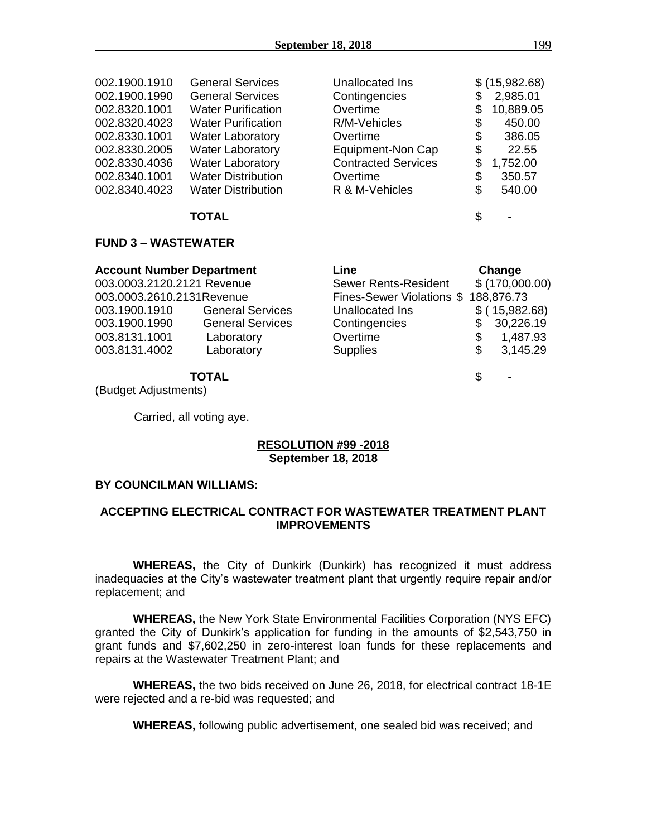| 002.1900.1910 | <b>General Services</b>   | <b>Unallocated Ins</b>     | \$ (15,982.68)  |
|---------------|---------------------------|----------------------------|-----------------|
| 002.1900.1990 | <b>General Services</b>   | Contingencies              | \$<br>2,985.01  |
| 002.8320.1001 | <b>Water Purification</b> | Overtime                   | \$<br>10,889.05 |
| 002.8320.4023 | <b>Water Purification</b> | R/M-Vehicles               | \$<br>450.00    |
| 002.8330.1001 | <b>Water Laboratory</b>   | Overtime                   | \$<br>386.05    |
| 002.8330.2005 | <b>Water Laboratory</b>   | Equipment-Non Cap          | \$<br>22.55     |
| 002.8330.4036 | <b>Water Laboratory</b>   | <b>Contracted Services</b> | \$<br>1,752.00  |
| 002.8340.1001 | <b>Water Distribution</b> | Overtime                   | \$<br>350.57    |
| 002.8340.4023 | <b>Water Distribution</b> | R & M-Vehicles             | \$<br>540.00    |
|               | <b>TOTAL</b>              |                            | \$              |

#### **FUND 3 – WASTEWATER**

| <b>Account Number Department</b> |                         | Line                                 |                | Change          |  |
|----------------------------------|-------------------------|--------------------------------------|----------------|-----------------|--|
| 003.0003.2120.2121 Revenue       |                         | <b>Sewer Rents-Resident</b>          | \$(170,000.00) |                 |  |
| 003.0003.2610.2131Revenue        |                         | Fines-Sewer Violations \$ 188,876.73 |                |                 |  |
| 003.1900.1910                    | <b>General Services</b> | Unallocated Ins                      |                | $$$ (15,982.68) |  |
| 003.1900.1990                    | <b>General Services</b> | Contingencies                        |                | 30,226.19       |  |
| 003.8131.1001                    | Laboratory              | Overtime                             | \$             | 1,487.93        |  |
| 003.8131.4002                    | Laboratory              | <b>Supplies</b>                      | \$             | 3,145.29        |  |
| TOTAL                            |                         |                                      | \$             | $\blacksquare$  |  |

(Budget Adjustments)

Carried, all voting aye.

## **RESOLUTION #99 -2018 September 18, 2018**

#### **BY COUNCILMAN WILLIAMS:**

## **ACCEPTING ELECTRICAL CONTRACT FOR WASTEWATER TREATMENT PLANT IMPROVEMENTS**

**WHEREAS,** the City of Dunkirk (Dunkirk) has recognized it must address inadequacies at the City's wastewater treatment plant that urgently require repair and/or replacement; and

**WHEREAS,** the New York State Environmental Facilities Corporation (NYS EFC) granted the City of Dunkirk's application for funding in the amounts of \$2,543,750 in grant funds and \$7,602,250 in zero-interest loan funds for these replacements and repairs at the Wastewater Treatment Plant; and

**WHEREAS,** the two bids received on June 26, 2018, for electrical contract 18-1E were rejected and a re-bid was requested; and

**WHEREAS,** following public advertisement, one sealed bid was received; and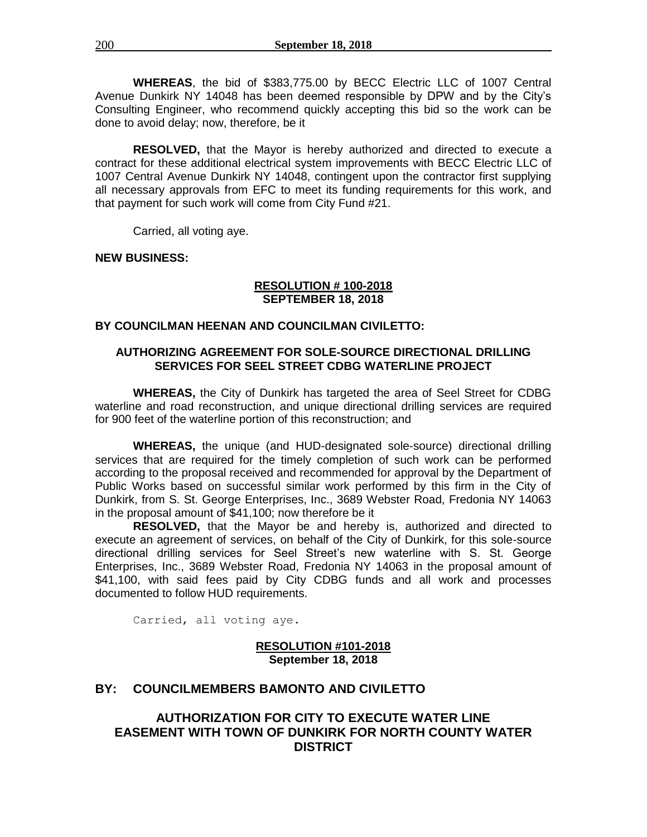**WHEREAS**, the bid of \$383,775.00 by BECC Electric LLC of 1007 Central Avenue Dunkirk NY 14048 has been deemed responsible by DPW and by the City's Consulting Engineer, who recommend quickly accepting this bid so the work can be done to avoid delay; now, therefore, be it

**RESOLVED,** that the Mayor is hereby authorized and directed to execute a contract for these additional electrical system improvements with BECC Electric LLC of 1007 Central Avenue Dunkirk NY 14048, contingent upon the contractor first supplying all necessary approvals from EFC to meet its funding requirements for this work, and that payment for such work will come from City Fund #21.

Carried, all voting aye.

**NEW BUSINESS:**

#### **RESOLUTION # 100-2018 SEPTEMBER 18, 2018**

## **BY COUNCILMAN HEENAN AND COUNCILMAN CIVILETTO:**

## **AUTHORIZING AGREEMENT FOR SOLE-SOURCE DIRECTIONAL DRILLING SERVICES FOR SEEL STREET CDBG WATERLINE PROJECT**

**WHEREAS,** the City of Dunkirk has targeted the area of Seel Street for CDBG waterline and road reconstruction, and unique directional drilling services are required for 900 feet of the waterline portion of this reconstruction; and

**WHEREAS,** the unique (and HUD-designated sole-source) directional drilling services that are required for the timely completion of such work can be performed according to the proposal received and recommended for approval by the Department of Public Works based on successful similar work performed by this firm in the City of Dunkirk, from S. St. George Enterprises, Inc., 3689 Webster Road, Fredonia NY 14063 in the proposal amount of \$41,100; now therefore be it

**RESOLVED,** that the Mayor be and hereby is, authorized and directed to execute an agreement of services, on behalf of the City of Dunkirk, for this sole-source directional drilling services for Seel Street's new waterline with S. St. George Enterprises, Inc., 3689 Webster Road, Fredonia NY 14063 in the proposal amount of \$41,100, with said fees paid by City CDBG funds and all work and processes documented to follow HUD requirements.

Carried, all voting aye.

## **RESOLUTION #101-2018 September 18, 2018**

# **BY: COUNCILMEMBERS BAMONTO AND CIVILETTO**

# **AUTHORIZATION FOR CITY TO EXECUTE WATER LINE EASEMENT WITH TOWN OF DUNKIRK FOR NORTH COUNTY WATER DISTRICT**